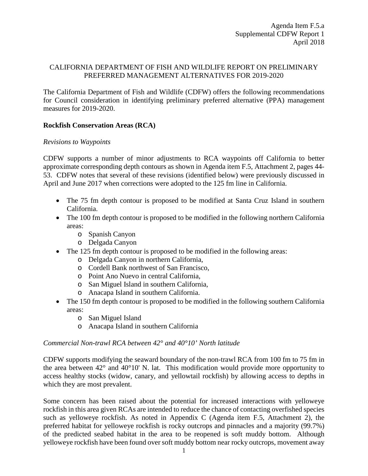# CALIFORNIA DEPARTMENT OF FISH AND WILDLIFE REPORT ON PRELIMINARY PREFERRED MANAGEMENT ALTERNATIVES FOR 2019-2020

The California Department of Fish and Wildlife (CDFW) offers the following recommendations for Council consideration in identifying preliminary preferred alternative (PPA) management measures for 2019-2020.

# **Rockfish Conservation Areas (RCA)**

# *Revisions to Waypoints*

CDFW supports a number of minor adjustments to RCA waypoints off California to better approximate corresponding depth contours as shown in Agenda item F.5, Attachment 2, pages 44- 53. CDFW notes that several of these revisions (identified below) were previously discussed in April and June 2017 when corrections were adopted to the 125 fm line in California.

- The 75 fm depth contour is proposed to be modified at Santa Cruz Island in southern California.
- The 100 fm depth contour is proposed to be modified in the following northern California areas:
	- o Spanish Canyon
	- o Delgada Canyon
- The 125 fm depth contour is proposed to be modified in the following areas:
	- o Delgada Canyon in northern California,
	- o Cordell Bank northwest of San Francisco,
	- o Point Ano Nuevo in central California,
	- o San Miguel Island in southern California,
	- o Anacapa Island in southern California.
- The 150 fm depth contour is proposed to be modified in the following southern California areas:
	- o San Miguel Island
	- o Anacapa Island in southern California

# *Commercial Non-trawl RCA between 42° and 40°10' North latitude*

CDFW supports modifying the seaward boundary of the non-trawl RCA from 100 fm to 75 fm in the area between  $42^{\circ}$  and  $40^{\circ}10'$  N. lat. This modification would provide more opportunity to access healthy stocks (widow, canary, and yellowtail rockfish) by allowing access to depths in which they are most prevalent.

Some concern has been raised about the potential for increased interactions with yelloweye rockfish in this area given RCAs are intended to reduce the chance of contacting overfished species such as yelloweye rockfish. As noted in Appendix C (Agenda item F.5, Attachment 2), the preferred habitat for yelloweye rockfish is rocky outcrops and pinnacles and a majority (99.7%) of the predicted seabed habitat in the area to be reopened is soft muddy bottom. Although yelloweye rockfish have been found over soft muddy bottom near rocky outcrops, movement away